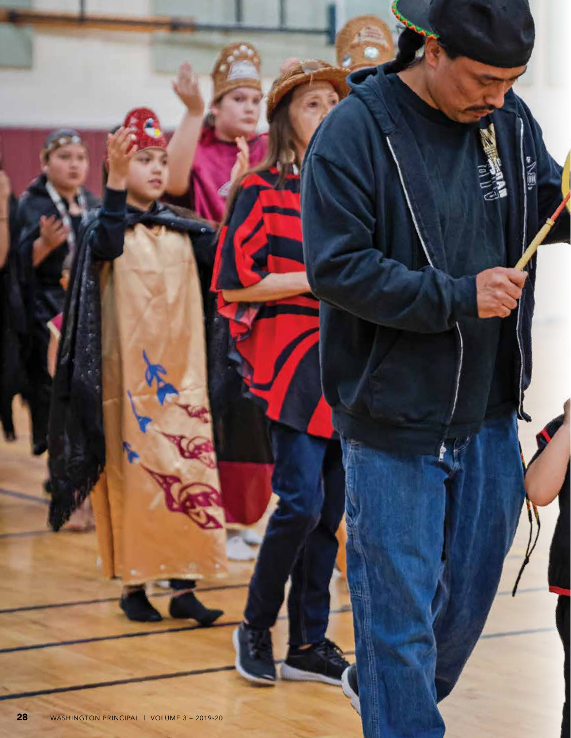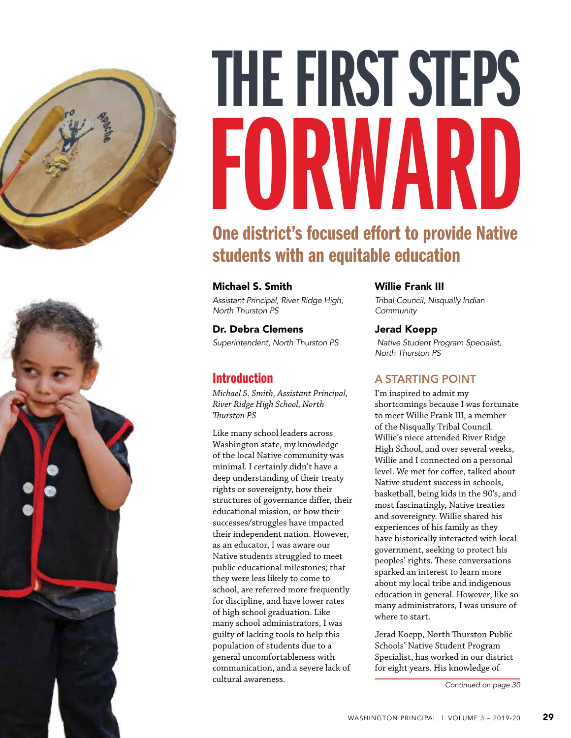



# THE FIRST STEPS FORWARD

# One district's focused effort to provide Native students with an equitable education

### Michael S. Smith

*Assistant Principal, River Ridge High, North Thurston PS*

Dr. Debra Clemens *Superintendent, North Thurston PS*

# Introduction

*Michael S. Smith, Assistant Principal, River Ridge High School, North Thurston PS*

Like many school leaders across Washington state, my knowledge of the local Native community was minimal. I certainly didn't have a deep understanding of their treaty rights or sovereignty, how their structures of governance differ, their educational mission, or how their successes/struggles have impacted their independent nation. However, as an educator, I was aware our Native students struggled to meet public educational milestones; that they were less likely to come to school, are referred more frequently for discipline, and have lower rates of high school graduation. Like many school administrators, I was guilty of lacking tools to help this population of students due to a general uncomfortableness with communication, and a severe lack of cultural awareness.

### Willie Frank III

*Tribal Council, Nisqually Indian Community*

### Jerad Koepp

 *Native Student Program Specialist, North Thurston PS*

# **A STARTING POINT**

I'm inspired to admit my shortcomings because I was fortunate to meet Willie Frank III, a member of the Nisqually Tribal Council. Willie's niece attended River Ridge High School, and over several weeks, Willie and I connected on a personal level. We met for coffee, talked about Native student success in schools, basketball, being kids in the 90's, and most fascinatingly, Native treaties and sovereignty. Willie shared his experiences of his family as they have historically interacted with local government, seeking to protect his peoples' rights. These conversations sparked an interest to learn more about my local tribe and indigenous education in general. However, like so many administrators, I was unsure of where to start.

Jerad Koepp, North Thurston Public Schools' Native Student Program Specialist, has worked in our district for eight years. His knowledge of

*Continued on page 30*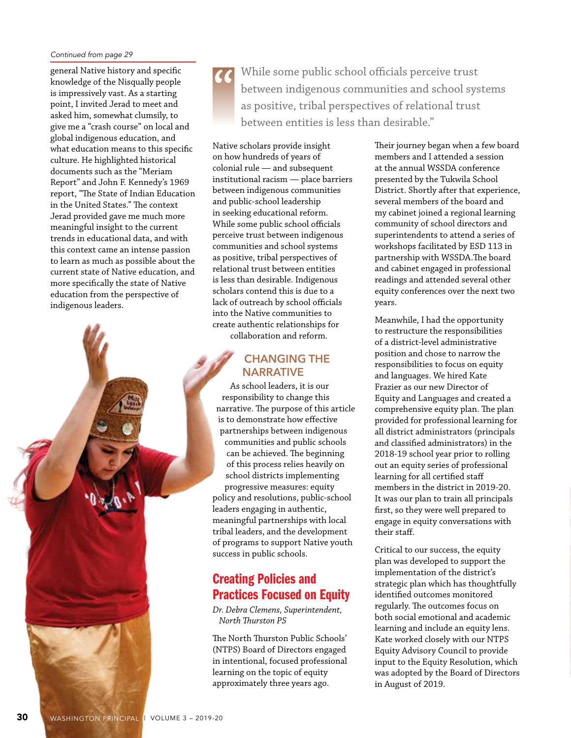### *Continued from page 29*

general Native history and specific knowledge of the Nisqually people is impressively vast. As a starting point, I invited Jerad to meet and asked him, somewhat clumsily, to give me a "crash course" on local and global indigenous education, and what education means to this specific culture. He highlighted historical documents such as the "Meriam Report" and John F. Kennedy's 1969 report, "The State of Indian Education in the United States." The context Jerad provided gave me much more meaningful insight to the current trends in educational data, and with this context came an intense passion to learn as much as possible about the current state of Native education, and more specifically the state of Native education from the perspective of indigenous leaders.



Native scholars provide insight on how hundreds of years of colonial rule — and subsequent institutional racism — place barriers between indigenous communities and public-school leadership in seeking educational reform. While some public school officials perceive trust between indigenous communities and school systems as positive, tribal perspectives of relational trust between entities is less than desirable. Indigenous scholars contend this is due to a lack of outreach by school officials into the Native communities to create authentic relationships for collaboration and reform.

# **CHANGING THE NARRATIVE**

As school leaders, it is our responsibility to change this narrative. The purpose of this article is to demonstrate how effective partnerships between indigenous communities and public schools can be achieved. The beginning of this process relies heavily on school districts implementing progressive measures: equity policy and resolutions, public-school leaders engaging in authentic, meaningful partnerships with local tribal leaders, and the development of programs to support Native youth success in public schools.

# Creating Policies and Practices Focused on Equity

*Dr. Debra Clemens, Superintendent, North Thurston PS*

The North Thurston Public Schools' (NTPS) Board of Directors engaged in intentional, focused professional learning on the topic of equity approximately three years ago.

Their journey began when a few board members and I attended a session at the annual WSSDA conference presented by the Tukwila School District. Shortly after that experience, several members of the board and my cabinet joined a regional learning community of school directors and superintendents to attend a series of workshops facilitated by ESD 113 in partnership with WSSDA.The board and cabinet engaged in professional readings and attended several other equity conferences over the next two years.

Meanwhile, I had the opportunity to restructure the responsibilities of a district-level administrative position and chose to narrow the responsibilities to focus on equity and languages. We hired Kate Frazier as our new Director of Equity and Languages and created a comprehensive equity plan. The plan provided for professional learning for all district administrators (principals and classified administrators) in the 2018-19 school year prior to rolling out an equity series of professional learning for all certified staff members in the district in 2019-20. It was our plan to train all principals first, so they were well prepared to engage in equity conversations with their staff.

Critical to our success, the equity plan was developed to support the implementation of the district's strategic plan which has thoughtfully identified outcomes monitored regularly. The outcomes focus on both social emotional and academic learning and include an equity lens. Kate worked closely with our NTPS Equity Advisory Council to provide input to the Equity Resolution, which was adopted by the Board of Directors in August of 2019.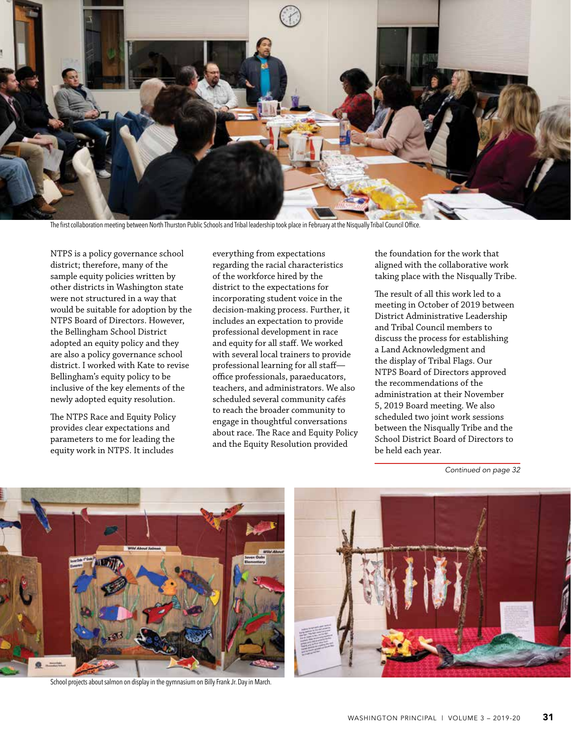

The first collaboration meeting between North Thurston Public Schools and Tribal leadership took place in February at the Nisqually Tribal Council Office.

NTPS is a policy governance school district; therefore, many of the sample equity policies written by other districts in Washington state were not structured in a way that would be suitable for adoption by the NTPS Board of Directors. However, the Bellingham School District adopted an equity policy and they are also a policy governance school district. I worked with Kate to revise Bellingham's equity policy to be inclusive of the key elements of the newly adopted equity resolution.

The NTPS Race and Equity Policy provides clear expectations and parameters to me for leading the equity work in NTPS. It includes

everything from expectations regarding the racial characteristics of the workforce hired by the district to the expectations for incorporating student voice in the decision-making process. Further, it includes an expectation to provide professional development in race and equity for all staff. We worked with several local trainers to provide professional learning for all staff office professionals, paraeducators, teachers, and administrators. We also scheduled several community cafés to reach the broader community to engage in thoughtful conversations about race. The Race and Equity Policy and the Equity Resolution provided

the foundation for the work that aligned with the collaborative work taking place with the Nisqually Tribe.

The result of all this work led to a meeting in October of 2019 between District Administrative Leadership and Tribal Council members to discuss the process for establishing a Land Acknowledgment and the display of Tribal Flags. Our NTPS Board of Directors approved the recommendations of the administration at their November 5, 2019 Board meeting. We also scheduled two joint work sessions between the Nisqually Tribe and the School District Board of Directors to be held each year.



School projects about salmon on display in the gymnasium on Billy Frank Jr. Day in March.



*Continued on page 32*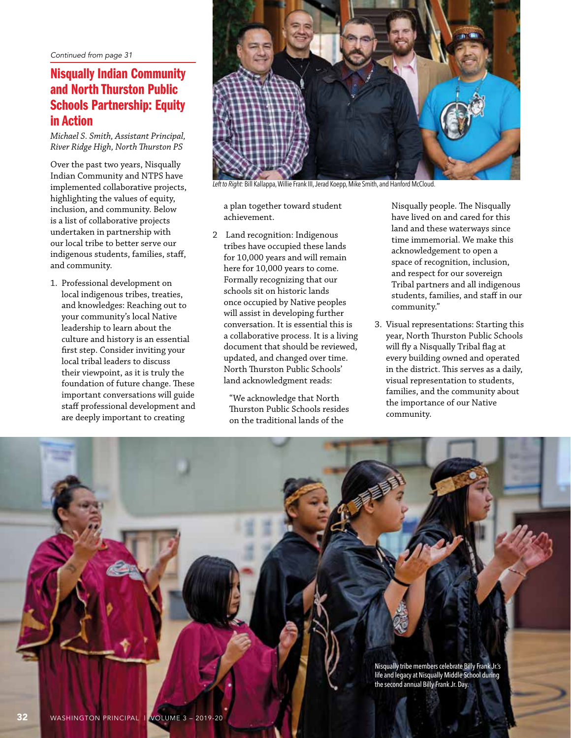*Continued from page 31*

# Nisqually Indian Community and North Thurston Public Schools Partnership: Equity in Action

*Michael S. Smith, Assistant Principal, River Ridge High, North Thurston PS*

Over the past two years, Nisqually Indian Community and NTPS have implemented collaborative projects, highlighting the values of equity, inclusion, and community. Below is a list of collaborative projects undertaken in partnership with our local tribe to better serve our indigenous students, families, staff, and community.

1. Professional development on local indigenous tribes, treaties, and knowledges: Reaching out to your community's local Native leadership to learn about the culture and history is an essential first step. Consider inviting your local tribal leaders to discuss their viewpoint, as it is truly the foundation of future change. These important conversations will guide staff professional development and are deeply important to creating



*Left to Right:* Bill Kallappa, Willie Frank III, Jerad Koepp, Mike Smith, and Hanford McCloud.

a plan together toward student achievement.

2 Land recognition: Indigenous tribes have occupied these lands for 10,000 years and will remain here for 10,000 years to come. Formally recognizing that our schools sit on historic lands once occupied by Native peoples will assist in developing further conversation. It is essential this is a collaborative process. It is a living document that should be reviewed, updated, and changed over time. North Thurston Public Schools' land acknowledgment reads:

> "We acknowledge that North Thurston Public Schools resides on the traditional lands of the

Nisqually people. The Nisqually have lived on and cared for this land and these waterways since time immemorial. We make this acknowledgement to open a space of recognition, inclusion, and respect for our sovereign Tribal partners and all indigenous students, families, and staff in our community."

3. Visual representations: Starting this year, North Thurston Public Schools will fly a Nisqually Tribal flag at every building owned and operated in the district. This serves as a daily, visual representation to students, families, and the community about the importance of our Native community.

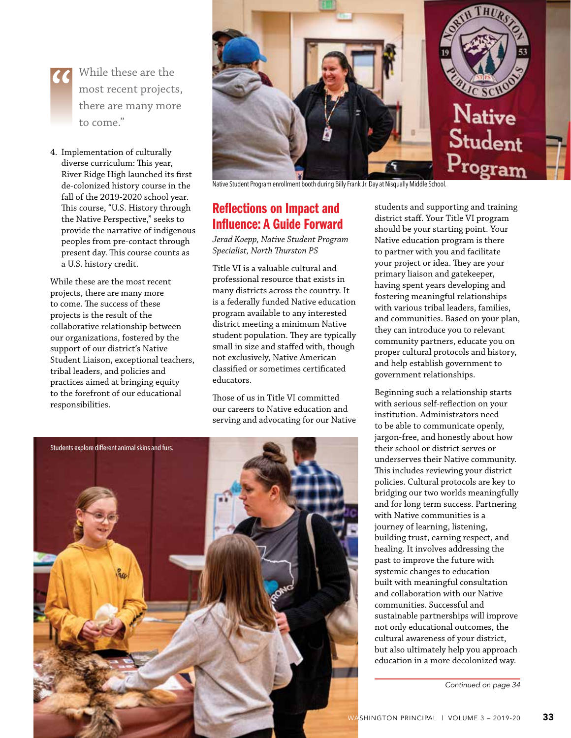

While these are the most recent projects, there are many more to come."

4. Implementation of culturally diverse curriculum: This year, River Ridge High launched its first de-colonized history course in the fall of the 2019-2020 school year. This course, "U.S. History through the Native Perspective," seeks to provide the narrative of indigenous peoples from pre-contact through present day. This course counts as a U.S. history credit.

While these are the most recent projects, there are many more to come. The success of these projects is the result of the collaborative relationship between our organizations, fostered by the support of our district's Native Student Liaison, exceptional teachers, tribal leaders, and policies and practices aimed at bringing equity to the forefront of our educational responsibilities.



Native Student Program enrollment booth during Billy Frank Jr. Day at Nisqually Middle School.

# Reflections on Impact and Influence: A Guide Forward

*Jerad Koepp, Native Student Program Specialist, North Thurston PS*

Title VI is a valuable cultural and professional resource that exists in many districts across the country. It is a federally funded Native education program available to any interested district meeting a minimum Native student population. They are typically small in size and staffed with, though not exclusively, Native American classified or sometimes certificated educators.

Those of us in Title VI committed our careers to Native education and serving and advocating for our Native



students and supporting and training district staff. Your Title VI program should be your starting point. Your Native education program is there to partner with you and facilitate your project or idea. They are your primary liaison and gatekeeper, having spent years developing and fostering meaningful relationships with various tribal leaders, families, and communities. Based on your plan, they can introduce you to relevant community partners, educate you on proper cultural protocols and history, and help establish government to government relationships.

Beginning such a relationship starts with serious self-reflection on your institution. Administrators need to be able to communicate openly, jargon-free, and honestly about how their school or district serves or underserves their Native community. This includes reviewing your district policies. Cultural protocols are key to bridging our two worlds meaningfully and for long term success. Partnering with Native communities is a journey of learning, listening, building trust, earning respect, and healing. It involves addressing the past to improve the future with systemic changes to education built with meaningful consultation and collaboration with our Native communities. Successful and sustainable partnerships will improve not only educational outcomes, the cultural awareness of your district, but also ultimately help you approach education in a more decolonized way.

*Continued on page 34*